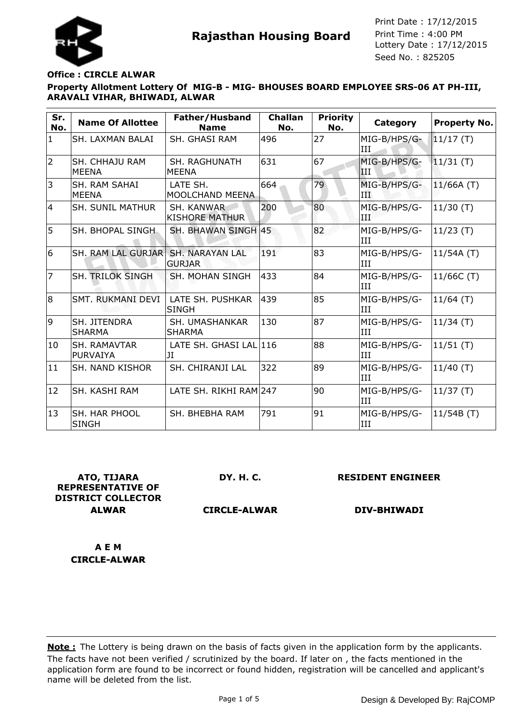



### **Office : CIRCLE ALWAR**

# **Property Allotment Lottery Of MIG-B - MIG- BHOUSES BOARD EMPLOYEE SRS-06 AT PH-III, ARAVALI VIHAR, BHIWADI, ALWAR**

| Sr.<br>No.     | <b>Name Of Allottee</b>                | Father/Husband<br><b>Name</b>           | <b>Challan</b><br>No. | <b>Priority</b><br>No. | Category              | <b>Property No.</b> |
|----------------|----------------------------------------|-----------------------------------------|-----------------------|------------------------|-----------------------|---------------------|
| $\mathbf{1}$   | SH. LAXMAN BALAI                       | <b>SH. GHASI RAM</b>                    | 496                   | 27                     | MIG-B/HPS/G-<br>III   | 11/17(T)            |
| $\overline{2}$ | <b>SH. CHHAIU RAM</b><br><b>MEENA</b>  | SH. RAGHUNATH<br><b>MEENA</b>           | 631                   | 67                     | MIG-B/HPS/G-<br>IШ    | $11/31$ (T)         |
| 3              | SH. RAM SAHAI<br><b>MEENA</b>          | LATE SH.<br>MOOLCHAND MEENA             | 664                   | 79                     | MIG-B/HPS/G-<br>ПĿ    | 11/66A(T)           |
| $\overline{4}$ | <b>SH. SUNIL MATHUR</b>                | SH. KANWAR<br><b>KISHORE MATHUR</b>     | 200                   | 80                     | MIG-B/HPS/G-<br>ÆЮ    | 11/30(T)            |
| 5              | SH. BHOPAL SINGH                       | SH. BHAWAN SINGH 45                     |                       | 82                     | MIG-B/HPS/G-<br>III   | $11/23$ (T)         |
| 6              | SH. RAM LAL GURJAR                     | <b>SH. NARAYAN LAL</b><br><b>GURJAR</b> | 191                   | 83                     | MIG-B/HPS/G-<br>III   | 11/54A(T)           |
| $\overline{7}$ | <b>SH. TRILOK SINGH</b>                | <b>SH. MOHAN SINGH</b>                  | 433                   | 84                     | MIG-B/HPS/G-<br>III   | 11/66C (T)          |
| 8              | SMT. RUKMANI DEVI                      | LATE SH. PUSHKAR<br>SINGH               | 439                   | 85                     | MIG-B/HPS/G-<br>l T T | $11/64$ (T)         |
| 9              | SH. JITENDRA<br><b>SHARMA</b>          | SH. UMASHANKAR<br><b>SHARMA</b>         | 130                   | 87                     | MIG-B/HPS/G-<br>III   | 11/34(T)            |
| 10             | <b>SH. RAMAVTAR</b><br><b>PURVAIYA</b> | LATE SH. GHASI LAL 116<br>IJI           |                       | 88                     | MIG-B/HPS/G-<br>ITT   | 11/51(T)            |
| 11             | <b>SH. NAND KISHOR</b>                 | SH. CHIRANJI LAL                        | 322                   | 89                     | MIG-B/HPS/G-<br>III   | $11/40$ (T)         |
| 12             | <b>SH. KASHI RAM</b>                   | LATE SH. RIKHI RAM 247                  |                       | 90                     | MIG-B/HPS/G-<br>III   | 11/37(T)            |
| 13             | <b>SH. HAR PHOOL</b><br><b>SINGH</b>   | SH. BHEBHA RAM                          | 791                   | 91                     | MIG-B/HPS/G-<br>III   | 11/54B(T)           |

**ATO, TIJARA REPRESENTATIVE OF DISTRICT COLLECTOR ALWAR**

**DY. H. C.**

**RESIDENT ENGINEER**

**CIRCLE-ALWAR**

**DIV-BHIWADI**

**A E M CIRCLE-ALWAR**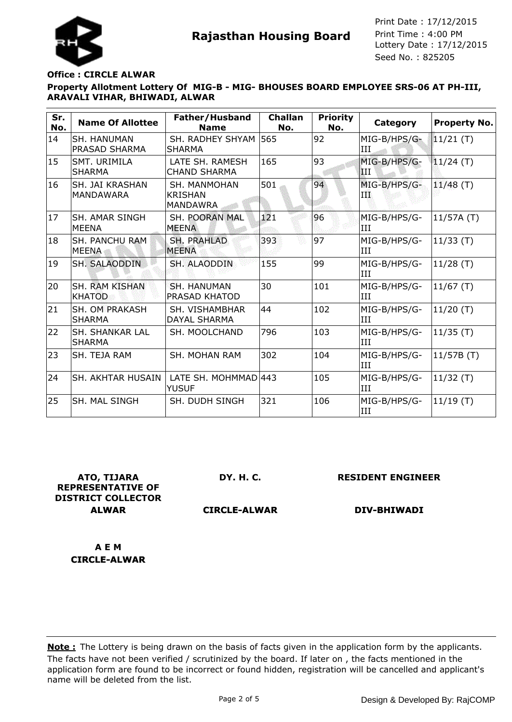



#### **Office : CIRCLE ALWAR**

## **Property Allotment Lottery Of MIG-B - MIG- BHOUSES BOARD EMPLOYEE SRS-06 AT PH-III, ARAVALI VIHAR, BHIWADI, ALWAR**

| Sr.<br>No. | <b>Name Of Allottee</b>                 | Father/Husband<br><b>Name</b>                            | <b>Challan</b><br>No. | <b>Priority</b><br>No. | Category            | <b>Property No.</b> |
|------------|-----------------------------------------|----------------------------------------------------------|-----------------------|------------------------|---------------------|---------------------|
| 14         | SH. HANUMAN<br>PRASAD SHARMA            | SH. RADHEY SHYAM<br><b>SHARMA</b>                        | 565                   | 92                     | MIG-B/HPS/G-<br>III | $11/21$ (T)         |
| 15         | SMT. URIMILA<br><b>SHARMA</b>           | LATE SH. RAMESH<br><b>CHAND SHARMA</b>                   | 165                   | 93                     | MIG-B/HPS/G-<br>Ш   | $11/24$ (T)         |
| 16         | SH. JAI KRASHAN<br><b>MANDAWARA</b>     | <b>SH. MANMOHAN</b><br><b>KRISHAN</b><br><b>MANDAWRA</b> | 501                   | 94                     | MIG-B/HPS/G-<br>TT. | $11/48$ (T)         |
| 17         | SH. AMAR SINGH<br><b>MEENA</b>          | <b>SH. POORAN MAL</b><br><b>MEENA</b>                    | 121                   | 96                     | MIG-B/HPS/G-<br>III | 11/57A(T)           |
| 18         | <b>SH. PANCHU RAM</b><br><b>MEENA</b>   | <b>SH. PRAHLAD</b><br><b>MEENA</b>                       | 393                   | 97                     | MIG-B/HPS/G-<br>III | $11/33$ (T)         |
| 19         | <b>SH. SALAODDIN</b>                    | SH. ALAODDIN                                             | 155                   | 99                     | MIG-B/HPS/G-<br>III | $11/28$ (T)         |
| 20         | <b>SH. RAM KISHAN</b><br><b>KHATOD</b>  | <b>SH. HANUMAN</b><br>PRASAD KHATOD                      | 30                    | 101                    | MIG-B/HPS/G-<br>III | 11/67(T)            |
| 21         | <b>SH. OM PRAKASH</b><br><b>SHARMA</b>  | SH. VISHAMBHAR<br><b>DAYAL SHARMA</b>                    | 44                    | 102                    | MIG-B/HPS/G-<br>III | $11/20$ (T)         |
| 22         | <b>SH. SHANKAR LAL</b><br><b>SHARMA</b> | SH. MOOLCHAND                                            | 796                   | 103                    | MIG-B/HPS/G-<br>III | $11/35$ (T)         |
| 23         | SH. TEJA RAM                            | <b>SH. MOHAN RAM</b>                                     | 302                   | 104                    | MIG-B/HPS/G-<br>III | 11/57B(T)           |
| 24         | SH. AKHTAR HUSAIN                       | LATE SH. MOHMMAD 443<br><b>YUSUF</b>                     |                       | 105                    | MIG-B/HPS/G-<br>III | $11/32$ (T)         |
| 25         | SH. MAL SINGH                           | SH. DUDH SINGH                                           | 321                   | 106                    | MIG-B/HPS/G-<br>III | 11/19(T)            |

**ATO, TIJARA REPRESENTATIVE OF DISTRICT COLLECTOR ALWAR**

**DY. H. C.**

**RESIDENT ENGINEER**

**CIRCLE-ALWAR**

**DIV-BHIWADI**

**A E M CIRCLE-ALWAR**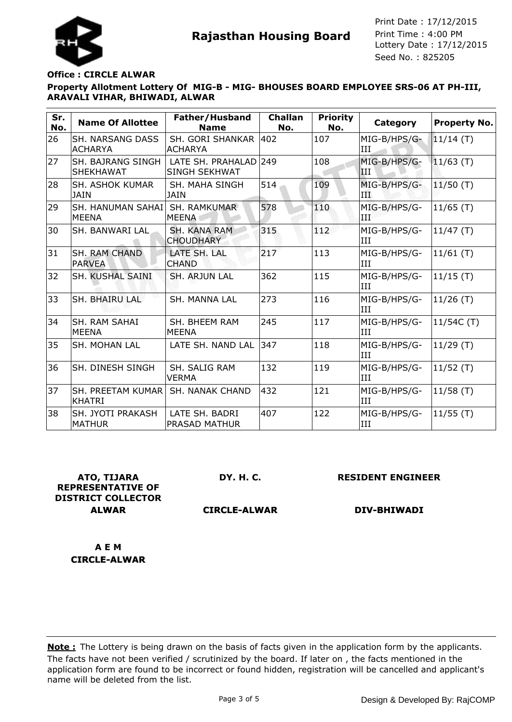



#### **Office : CIRCLE ALWAR**

### **Property Allotment Lottery Of MIG-B - MIG- BHOUSES BOARD EMPLOYEE SRS-06 AT PH-III, ARAVALI VIHAR, BHIWADI, ALWAR**

| Sr.<br>No. | <b>Name Of Allottee</b>                      | Father/Husband<br><b>Name</b>                 | <b>Challan</b><br>No. | <b>Priority</b><br>No. | Category            | <b>Property No.</b> |
|------------|----------------------------------------------|-----------------------------------------------|-----------------------|------------------------|---------------------|---------------------|
| 26         | <b>SH. NARSANG DASS</b><br><b>ACHARYA</b>    | SH. GORI SHANKAR<br><b>ACHARYA</b>            | 402                   | 107                    | MIG-B/HPS/G-<br>III | $11/14$ (T)         |
| 27         | <b>SH. BAJRANG SINGH</b><br><b>SHEKHAWAT</b> | LATE SH. PRAHALAD 249<br><b>SINGH SEKHWAT</b> |                       | 108                    | MIG-B/HPS/G-<br>IН  | $11/63$ (T)         |
| 28         | <b>SH. ASHOK KUMAR</b><br><b>JAIN</b>        | SH. MAHA SINGH<br><b>JAIN</b>                 | 514                   | 109                    | MIG-B/HPS/G-<br>ПT  | $11/50$ (T)         |
| 29         | SH. HANUMAN SAHAI<br><b>MEENA</b>            | <b>SH. RAMKUMAR</b><br>MEENA                  | 578                   | 110                    | MIG-B/HPS/G-<br>ÆЮ  | $11/65$ (T)         |
| 30         | <b>SH. BANWARI LAL</b>                       | SH. KANA RAM<br><b>CHOUDHARY</b>              | 315                   | 112                    | MIG-B/HPS/G-<br>III | 11/47(T)            |
| 31         | <b>SH. RAM CHAND</b><br><b>PARVEA</b>        | LATE SH. LAL<br><b>CHAND</b>                  | 217                   | 113                    | MIG-B/HPS/G-<br>III | $11/61$ (T)         |
| 32         | SH. KUSHAL SAINI                             | <b>SH. ARJUN LAL</b>                          | 362                   | 115                    | MIG-B/HPS/G-<br>III | $11/15$ (T)         |
| 33         | <b>SH. BHAIRU LAL</b>                        | <b>SH. MANNA LAL</b>                          | 273                   | 116                    | MIG-B/HPS/G-<br>III | $11/26$ (T)         |
| 34         | SH. RAM SAHAI<br><b>MEENA</b>                | SH. BHEEM RAM<br><b>MEENA</b>                 | 245                   | 117                    | MIG-B/HPS/G-<br>III | 11/54C (T)          |
| 35         | <b>SH. MOHAN LAL</b>                         | LATE SH. NAND LAL                             | 347                   | 118                    | MIG-B/HPS/G-<br>III | 11/29(T)            |
| 36         | <b>SH. DINESH SINGH</b>                      | SH. SALIG RAM<br><b>VERMA</b>                 | 132                   | 119                    | MIG-B/HPS/G-<br>III | $11/52$ (T)         |
| 37         | SH. PREETAM KUMAR<br><b>KHATRI</b>           | <b>SH. NANAK CHAND</b>                        | 432                   | 121                    | MIG-B/HPS/G-<br>III | 11/58(T)            |
| 38         | SH. JYOTI PRAKASH<br><b>MATHUR</b>           | LATE SH. BADRI<br><b>PRASAD MATHUR</b>        | 407                   | 122                    | MIG-B/HPS/G-<br>III | $11/55$ (T)         |

**ATO, TIJARA REPRESENTATIVE OF DISTRICT COLLECTOR ALWAR**

**DY. H. C.**

**RESIDENT ENGINEER**

**CIRCLE-ALWAR**

**DIV-BHIWADI**

**A E M CIRCLE-ALWAR**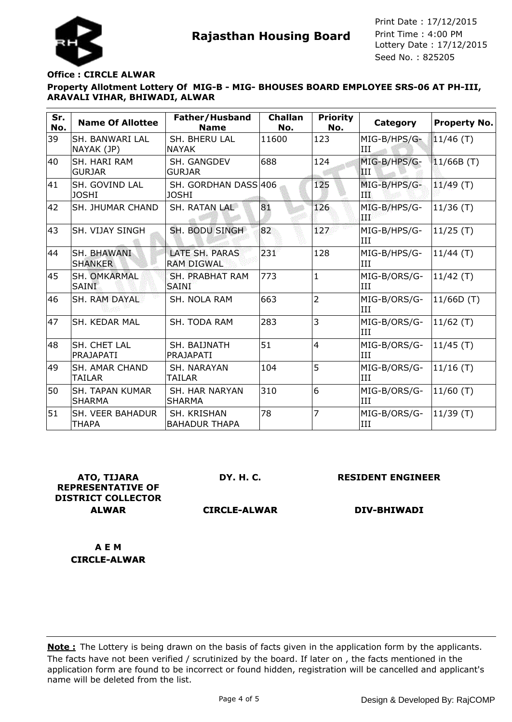



**Rajasthan Housing Board** Print Time : 4:00 PM<br>Lottery Date : 17/12/2015 Seed No. : 825205 Print Date : 17/12/2015 Print Time : 4:00 PM

#### **Office : CIRCLE ALWAR**

## **Property Allotment Lottery Of MIG-B - MIG- BHOUSES BOARD EMPLOYEE SRS-06 AT PH-III, ARAVALI VIHAR, BHIWADI, ALWAR**

| Sr.<br>No. | <b>Name Of Allottee</b>                 | Father/Husband<br><b>Name</b>          | <b>Challan</b><br>No. | <b>Priority</b><br>No. | <b>Category</b>                | <b>Property No.</b> |
|------------|-----------------------------------------|----------------------------------------|-----------------------|------------------------|--------------------------------|---------------------|
| 39         | <b>SH. BANWARI LAL</b><br>NAYAK (JP)    | SH. BHERU LAL<br><b>NAYAK</b>          | 11600                 | 123                    | MIG-B/HPS/G-<br>ИI             | 11/46 (T)           |
| 40         | <b>SH. HARI RAM</b><br><b>GURJAR</b>    | SH. GANGDEV<br><b>GURJAR</b>           | 688                   | 124                    | MIG-B/HPS/G-<br>$\mathbf{III}$ | 11/66B(T)           |
| 41         | SH. GOVIND LAL<br><b>JOSHI</b>          | SH. GORDHAN DASS 406<br><b>JOSHI</b>   |                       | 125                    | MIG-B/HPS/G-<br>ш              | 11/49(T)            |
| 42         | ISH. JHUMAR CHAND                       | SH. RATAN LAL                          | 81                    | 126                    | MIG-B/HPS/G-<br>4 RB           | $11/36$ (T)         |
| 43         | ISH. VIJAY SINGH                        | SH. BODU SINGH                         | 82                    | 127                    | MIG-B/HPS/G-<br>III            | 11/25(T)            |
| 44         | <b>SH. BHAWANI</b><br><b>SHANKER</b>    | LATE SH. PARAS<br><b>RAM DIGWAL</b>    | 231                   | 128                    | MIG-B/HPS/G-<br>III            | 11/44(T)            |
| 45         | <b>SH. OMKARMAL</b><br><b>SAINI</b>     | <b>SH. PRABHAT RAM</b><br><b>SAINI</b> | 773                   | $\mathbf{1}$           | MIG-B/ORS/G-<br>III            | 11/42(T)            |
| 46         | ISH. RAM DAYAL                          | <b>SH. NOLA RAM</b>                    | 663                   | $\overline{2}$         | MIG-B/ORS/G-<br><b>III</b>     | 11/66D (T)          |
| 47         | ISH. KEDAR MAL                          | SH. TODA RAM                           | 283                   | 3                      | MIG-B/ORS/G-<br>III            | $11/62$ (T)         |
| 48         | <b>SH. CHET LAL</b><br>PRAJAPATI        | SH. BAIJNATH<br>PRAJAPATI              | 51                    | 4                      | MIG-B/ORS/G-<br>III            | $ 11/45(T)\rangle$  |
| 49         | <b>SH. AMAR CHAND</b><br>TAILAR         | SH. NARAYAN<br>TAILAR                  | 104                   | 5                      | MIG-B/ORS/G-<br>III            | $ 11/16(T)\rangle$  |
| 50         | <b>SH. TAPAN KUMAR</b><br><b>SHARMA</b> | <b>SH. HAR NARYAN</b><br><b>SHARMA</b> | 310                   | 6                      | MIG-B/ORS/G-<br>Ш              | $11/60$ (T)         |
| 51         | <b>SH. VEER BAHADUR</b><br><b>THAPA</b> | SH. KRISHAN<br><b>BAHADUR THAPA</b>    | 78                    | 7                      | MIG-B/ORS/G-<br>ИI             | $ 11/39(T)\rangle$  |

**ATO, TIJARA REPRESENTATIVE OF DISTRICT COLLECTOR ALWAR**

**DY. H. C.**

**RESIDENT ENGINEER**

**CIRCLE-ALWAR**

**DIV-BHIWADI**

**A E M CIRCLE-ALWAR**